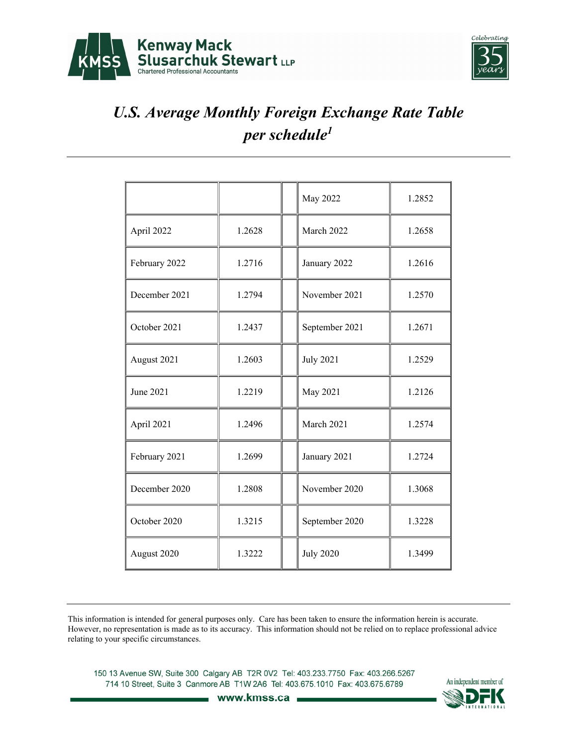



|               |        | May 2022         | 1.2852 |
|---------------|--------|------------------|--------|
| April 2022    | 1.2628 | March 2022       | 1.2658 |
| February 2022 | 1.2716 | January 2022     | 1.2616 |
| December 2021 | 1.2794 | November 2021    | 1.2570 |
| October 2021  | 1.2437 | September 2021   | 1.2671 |
| August 2021   | 1.2603 | <b>July 2021</b> | 1.2529 |
| June 2021     | 1.2219 | May 2021         | 1.2126 |
| April 2021    | 1.2496 | March 2021       | 1.2574 |
| February 2021 | 1.2699 | January 2021     | 1.2724 |
| December 2020 | 1.2808 | November 2020    | 1.3068 |
| October 2020  | 1.3215 | September 2020   | 1.3228 |
| August 2020   | 1.3222 | <b>July 2020</b> | 1.3499 |

This information is intended for general purposes only. Care has been taken to ensure the information herein is accurate. However, no representation is made as to its accuracy. This information should not be relied on to replace professional advice relating to your specific circumstances.

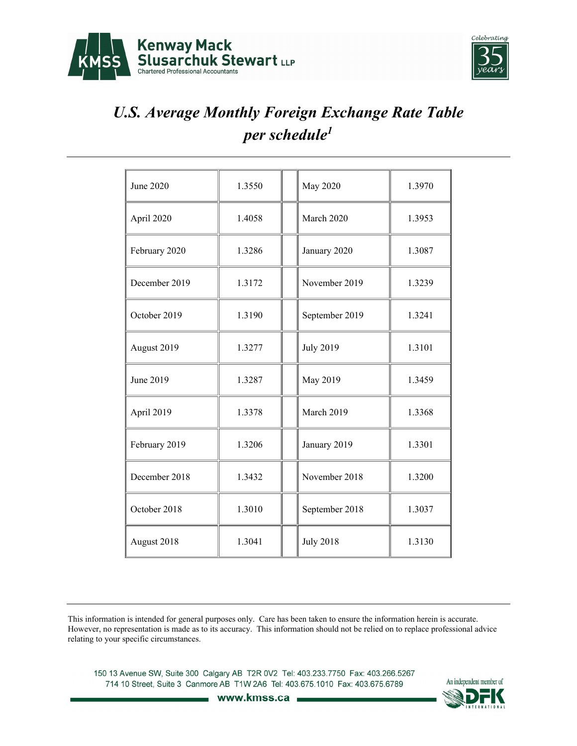



| June 2020     | 1.3550 | <b>May 2020</b>  | 1.3970 |
|---------------|--------|------------------|--------|
| April 2020    | 1.4058 | March 2020       | 1.3953 |
| February 2020 | 1.3286 | January 2020     | 1.3087 |
| December 2019 | 1.3172 | November 2019    | 1.3239 |
| October 2019  | 1.3190 | September 2019   | 1.3241 |
| August 2019   | 1.3277 | <b>July 2019</b> | 1.3101 |
| June 2019     | 1.3287 | May 2019         | 1.3459 |
| April 2019    | 1.3378 | March 2019       | 1.3368 |
| February 2019 | 1.3206 | January 2019     | 1.3301 |
| December 2018 | 1.3432 | November 2018    | 1.3200 |
| October 2018  | 1.3010 | September 2018   | 1.3037 |
| August 2018   | 1.3041 | <b>July 2018</b> | 1.3130 |

This information is intended for general purposes only. Care has been taken to ensure the information herein is accurate. However, no representation is made as to its accuracy. This information should not be relied on to replace professional advice relating to your specific circumstances.

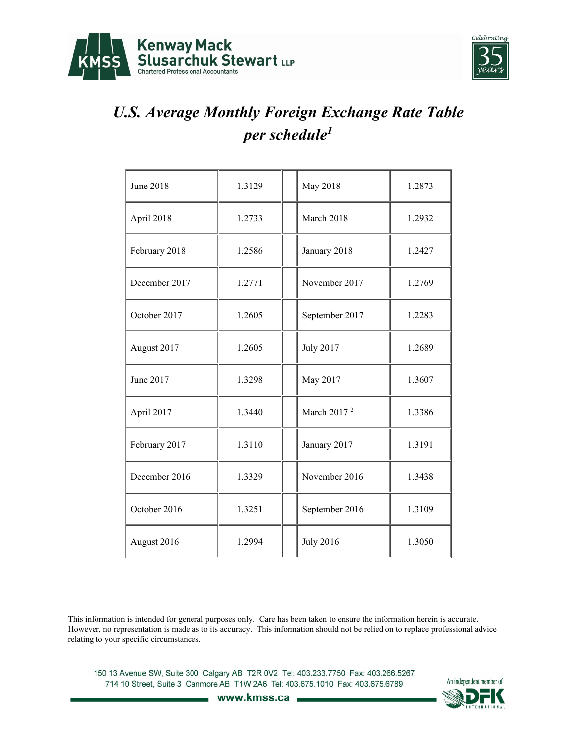



| June 2018     | 1.3129 | May 2018                | 1.2873 |
|---------------|--------|-------------------------|--------|
| April 2018    | 1.2733 | March 2018              | 1.2932 |
| February 2018 | 1.2586 | January 2018            | 1.2427 |
| December 2017 | 1.2771 | November 2017           | 1.2769 |
| October 2017  | 1.2605 | September 2017          | 1.2283 |
| August 2017   | 1.2605 | <b>July 2017</b>        | 1.2689 |
| June 2017     | 1.3298 | May 2017                | 1.3607 |
| April 2017    | 1.3440 | March 2017 <sup>2</sup> | 1.3386 |
| February 2017 | 1.3110 | January 2017            | 1.3191 |
| December 2016 | 1.3329 | November 2016           | 1.3438 |
| October 2016  | 1.3251 | September 2016          | 1.3109 |
| August 2016   | 1.2994 | <b>July 2016</b>        | 1.3050 |

This information is intended for general purposes only. Care has been taken to ensure the information herein is accurate. However, no representation is made as to its accuracy. This information should not be relied on to replace professional advice relating to your specific circumstances.

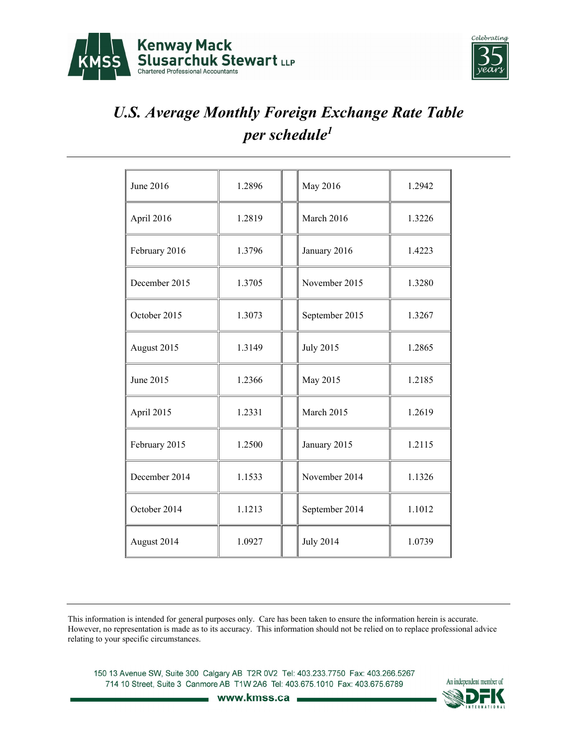



| June 2016     | 1.2896 | May 2016         | 1.2942 |
|---------------|--------|------------------|--------|
| April 2016    | 1.2819 | March 2016       | 1.3226 |
| February 2016 | 1.3796 | January 2016     | 1.4223 |
| December 2015 | 1.3705 | November 2015    | 1.3280 |
| October 2015  | 1.3073 | September 2015   | 1.3267 |
| August 2015   | 1.3149 | <b>July 2015</b> | 1.2865 |
| June 2015     | 1.2366 | May 2015         | 1.2185 |
| April 2015    | 1.2331 | March 2015       | 1.2619 |
| February 2015 | 1.2500 | January 2015     | 1.2115 |
| December 2014 | 1.1533 | November 2014    | 1.1326 |
| October 2014  | 1.1213 | September 2014   | 1.1012 |
| August 2014   | 1.0927 | <b>July 2014</b> | 1.0739 |

This information is intended for general purposes only. Care has been taken to ensure the information herein is accurate. However, no representation is made as to its accuracy. This information should not be relied on to replace professional advice relating to your specific circumstances.

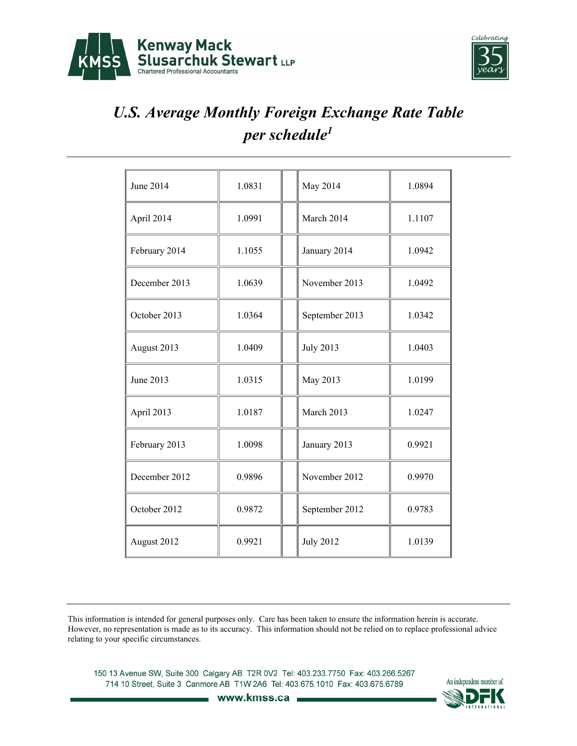



| June 2014     | 1.0831 | May 2014         | 1.0894 |
|---------------|--------|------------------|--------|
| April 2014    | 1.0991 | March 2014       | 1.1107 |
| February 2014 | 1.1055 | January 2014     | 1.0942 |
| December 2013 | 1.0639 | November 2013    | 1.0492 |
| October 2013  | 1.0364 | September 2013   | 1.0342 |
| August 2013   | 1.0409 | <b>July 2013</b> | 1.0403 |
| June 2013     | 1.0315 | May 2013         | 1.0199 |
| April 2013    | 1.0187 | March 2013       | 1.0247 |
| February 2013 | 1.0098 | January 2013     | 0.9921 |
| December 2012 | 0.9896 | November 2012    | 0.9970 |
| October 2012  | 0.9872 | September 2012   | 0.9783 |
| August 2012   | 0.9921 | <b>July 2012</b> | 1.0139 |

This information is intended for general purposes only. Care has been taken to ensure the information herein is accurate. However, no representation is made as to its accuracy. This information should not be relied on to replace professional advice relating to your specific circumstances.

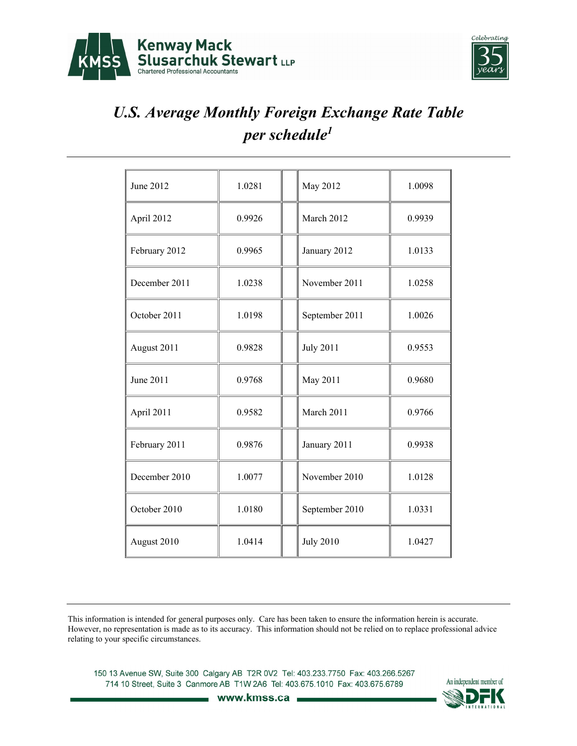



| June 2012     | 1.0281 | May 2012         | 1.0098 |
|---------------|--------|------------------|--------|
| April 2012    | 0.9926 | March 2012       | 0.9939 |
| February 2012 | 0.9965 | January 2012     | 1.0133 |
| December 2011 | 1.0238 | November 2011    | 1.0258 |
| October 2011  | 1.0198 | September 2011   | 1.0026 |
| August 2011   | 0.9828 | <b>July 2011</b> | 0.9553 |
| June 2011     | 0.9768 | May 2011         | 0.9680 |
| April 2011    | 0.9582 | March 2011       | 0.9766 |
| February 2011 | 0.9876 | January 2011     | 0.9938 |
| December 2010 | 1.0077 | November 2010    | 1.0128 |
| October 2010  | 1.0180 | September 2010   | 1.0331 |
| August 2010   | 1.0414 | <b>July 2010</b> | 1.0427 |

This information is intended for general purposes only. Care has been taken to ensure the information herein is accurate. However, no representation is made as to its accuracy. This information should not be relied on to replace professional advice relating to your specific circumstances.

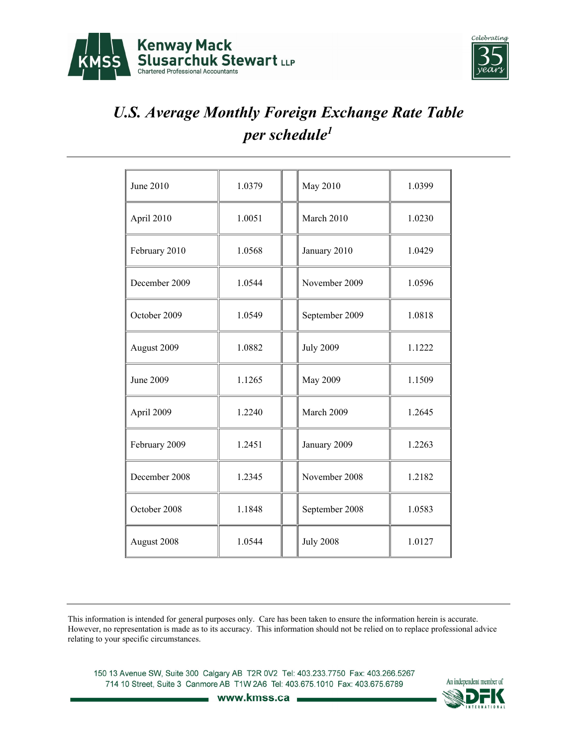



| June 2010     | 1.0379 | May 2010         | 1.0399 |
|---------------|--------|------------------|--------|
| April 2010    | 1.0051 | March 2010       | 1.0230 |
| February 2010 | 1.0568 | January 2010     | 1.0429 |
| December 2009 | 1.0544 | November 2009    | 1.0596 |
| October 2009  | 1.0549 | September 2009   | 1.0818 |
| August 2009   | 1.0882 | <b>July 2009</b> | 1.1222 |
| June 2009     | 1.1265 | <b>May 2009</b>  | 1.1509 |
| April 2009    | 1.2240 | March 2009       | 1.2645 |
| February 2009 | 1.2451 | January 2009     | 1.2263 |
| December 2008 | 1.2345 | November 2008    | 1.2182 |
| October 2008  | 1.1848 | September 2008   | 1.0583 |
| August 2008   | 1.0544 | <b>July 2008</b> | 1.0127 |

This information is intended for general purposes only. Care has been taken to ensure the information herein is accurate. However, no representation is made as to its accuracy. This information should not be relied on to replace professional advice relating to your specific circumstances.

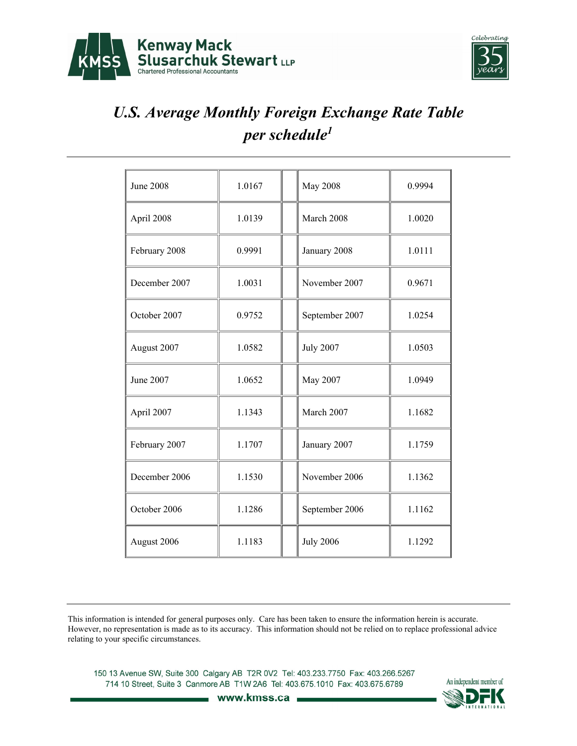



| <b>June 2008</b> | 1.0167 | <b>May 2008</b>  | 0.9994 |
|------------------|--------|------------------|--------|
| April 2008       | 1.0139 | March 2008       | 1.0020 |
| February 2008    | 0.9991 | January 2008     | 1.0111 |
| December 2007    | 1.0031 | November 2007    | 0.9671 |
| October 2007     | 0.9752 | September 2007   | 1.0254 |
| August 2007      | 1.0582 | <b>July 2007</b> | 1.0503 |
| June 2007        | 1.0652 | May 2007         | 1.0949 |
| April 2007       | 1.1343 | March 2007       | 1.1682 |
| February 2007    | 1.1707 | January 2007     | 1.1759 |
| December 2006    | 1.1530 | November 2006    | 1.1362 |
| October 2006     | 1.1286 | September 2006   | 1.1162 |
| August 2006      | 1.1183 | <b>July 2006</b> | 1.1292 |

This information is intended for general purposes only. Care has been taken to ensure the information herein is accurate. However, no representation is made as to its accuracy. This information should not be relied on to replace professional advice relating to your specific circumstances.

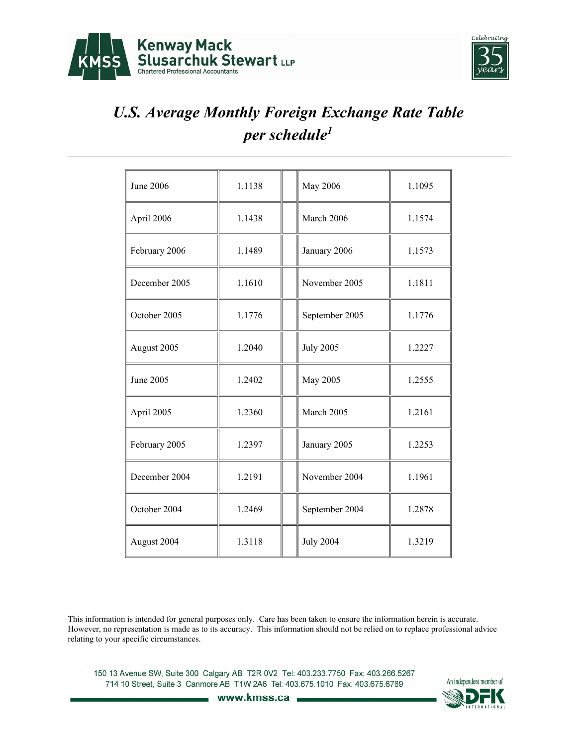



| June 2006     | 1.1138 | <b>May 2006</b>  | 1.1095 |
|---------------|--------|------------------|--------|
| April 2006    | 1.1438 | March 2006       | 1.1574 |
| February 2006 | 1.1489 | January 2006     | 1.1573 |
| December 2005 | 1.1610 | November 2005    | 1.1811 |
| October 2005  | 1.1776 | September 2005   | 1.1776 |
| August 2005   | 1.2040 | <b>July 2005</b> | 1.2227 |
| June 2005     | 1.2402 | May 2005         | 1.2555 |
| April 2005    | 1.2360 | March 2005       | 1.2161 |
| February 2005 | 1.2397 | January 2005     | 1.2253 |
| December 2004 | 1.2191 | November 2004    | 1.1961 |
| October 2004  | 1.2469 | September 2004   | 1.2878 |
| August 2004   | 1.3118 | <b>July 2004</b> | 1.3219 |

This information is intended for general purposes only. Care has been taken to ensure the information herein is accurate. However, no representation is made as to its accuracy. This information should not be relied on to replace professional advice relating to your specific circumstances.

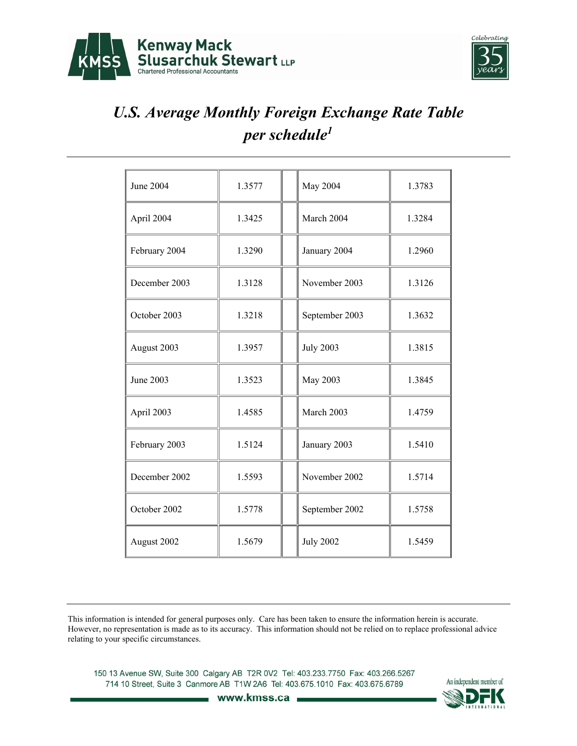



| June 2004        | 1.3577 | May 2004         | 1.3783 |
|------------------|--------|------------------|--------|
| April 2004       | 1.3425 | March 2004       | 1.3284 |
| February 2004    | 1.3290 | January 2004     | 1.2960 |
| December 2003    | 1.3128 | November 2003    | 1.3126 |
| October 2003     | 1.3218 | September 2003   | 1.3632 |
| August 2003      | 1.3957 | <b>July 2003</b> | 1.3815 |
| <b>June 2003</b> | 1.3523 | May 2003         | 1.3845 |
| April 2003       | 1.4585 | March 2003       | 1.4759 |
| February 2003    | 1.5124 | January 2003     | 1.5410 |
| December 2002    | 1.5593 | November 2002    | 1.5714 |
| October 2002     | 1.5778 | September 2002   | 1.5758 |
| August 2002      | 1.5679 | <b>July 2002</b> | 1.5459 |

This information is intended for general purposes only. Care has been taken to ensure the information herein is accurate. However, no representation is made as to its accuracy. This information should not be relied on to replace professional advice relating to your specific circumstances.

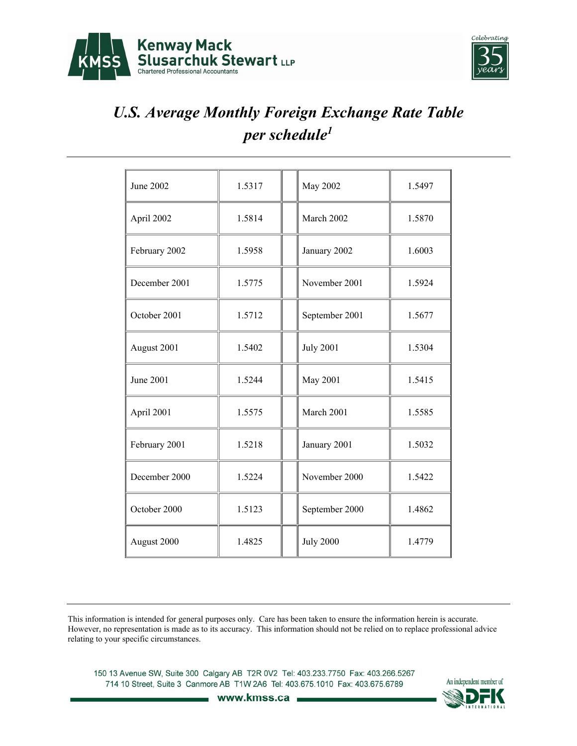



| June 2002     | 1.5317 | <b>May 2002</b>  | 1.5497 |
|---------------|--------|------------------|--------|
| April 2002    | 1.5814 | March 2002       | 1.5870 |
| February 2002 | 1.5958 | January 2002     | 1.6003 |
| December 2001 | 1.5775 | November 2001    | 1.5924 |
| October 2001  | 1.5712 | September 2001   | 1.5677 |
| August 2001   | 1.5402 | <b>July 2001</b> | 1.5304 |
| June 2001     | 1.5244 | <b>May 2001</b>  | 1.5415 |
| April 2001    | 1.5575 | March 2001       | 1.5585 |
| February 2001 | 1.5218 | January 2001     | 1.5032 |
| December 2000 | 1.5224 | November 2000    | 1.5422 |
| October 2000  | 1.5123 | September 2000   | 1.4862 |
| August 2000   | 1.4825 | <b>July 2000</b> | 1.4779 |

This information is intended for general purposes only. Care has been taken to ensure the information herein is accurate. However, no representation is made as to its accuracy. This information should not be relied on to replace professional advice relating to your specific circumstances.

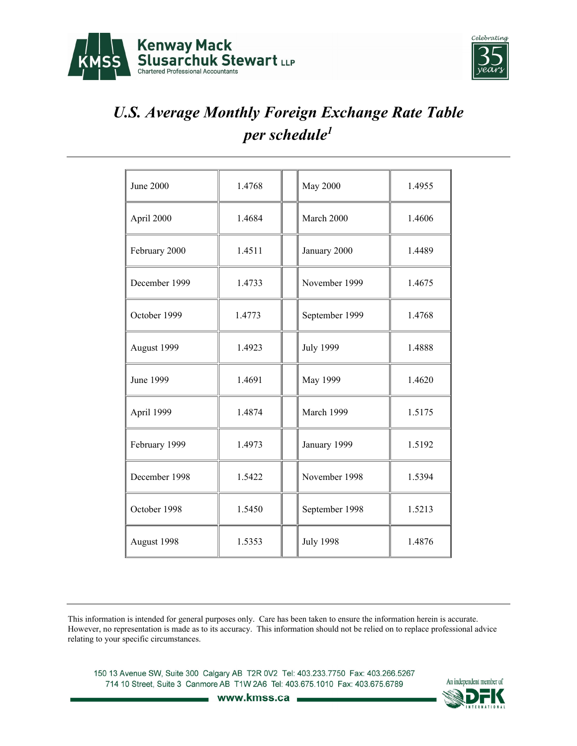



| June 2000     | 1.4768 | <b>May 2000</b>  | 1.4955 |
|---------------|--------|------------------|--------|
| April 2000    | 1.4684 | March 2000       | 1.4606 |
| February 2000 | 1.4511 | January 2000     | 1.4489 |
| December 1999 | 1.4733 | November 1999    | 1.4675 |
| October 1999  | 1.4773 | September 1999   | 1.4768 |
| August 1999   | 1.4923 | <b>July 1999</b> | 1.4888 |
| June 1999     | 1.4691 | May 1999         | 1.4620 |
| April 1999    | 1.4874 | March 1999       | 1.5175 |
| February 1999 | 1.4973 | January 1999     | 1.5192 |
| December 1998 | 1.5422 | November 1998    | 1.5394 |
| October 1998  | 1.5450 | September 1998   | 1.5213 |
| August 1998   | 1.5353 | <b>July 1998</b> | 1.4876 |

This information is intended for general purposes only. Care has been taken to ensure the information herein is accurate. However, no representation is made as to its accuracy. This information should not be relied on to replace professional advice relating to your specific circumstances.

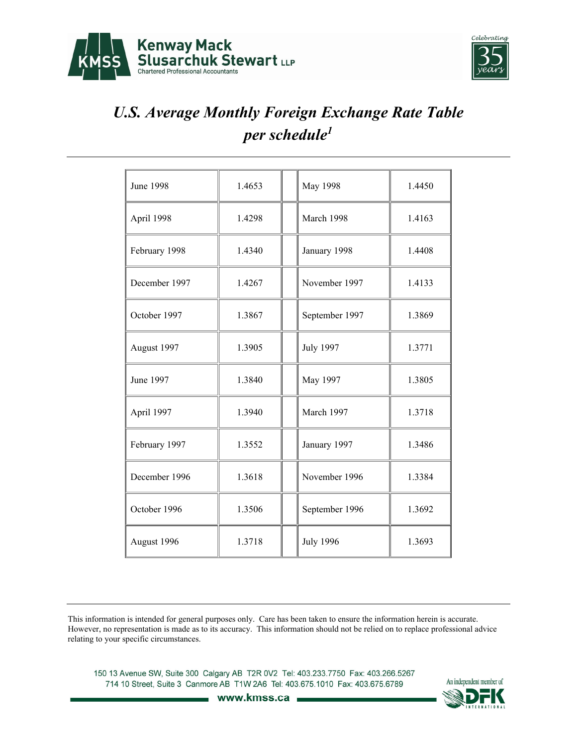![](_page_12_Picture_0.jpeg)

![](_page_12_Picture_1.jpeg)

| <b>June 1998</b> | 1.4653 | <b>May 1998</b>  | 1.4450 |
|------------------|--------|------------------|--------|
| April 1998       | 1.4298 | March 1998       | 1.4163 |
| February 1998    | 1.4340 | January 1998     | 1.4408 |
| December 1997    | 1.4267 | November 1997    | 1.4133 |
| October 1997     | 1.3867 | September 1997   | 1.3869 |
| August 1997      | 1.3905 | <b>July 1997</b> | 1.3771 |
| June 1997        | 1.3840 | May 1997         | 1.3805 |
| April 1997       | 1.3940 | March 1997       | 1.3718 |
| February 1997    | 1.3552 | January 1997     | 1.3486 |
| December 1996    | 1.3618 | November 1996    | 1.3384 |
| October 1996     | 1.3506 | September 1996   | 1.3692 |
| August 1996      | 1.3718 | <b>July 1996</b> | 1.3693 |

This information is intended for general purposes only. Care has been taken to ensure the information herein is accurate. However, no representation is made as to its accuracy. This information should not be relied on to replace professional advice relating to your specific circumstances.

![](_page_12_Picture_6.jpeg)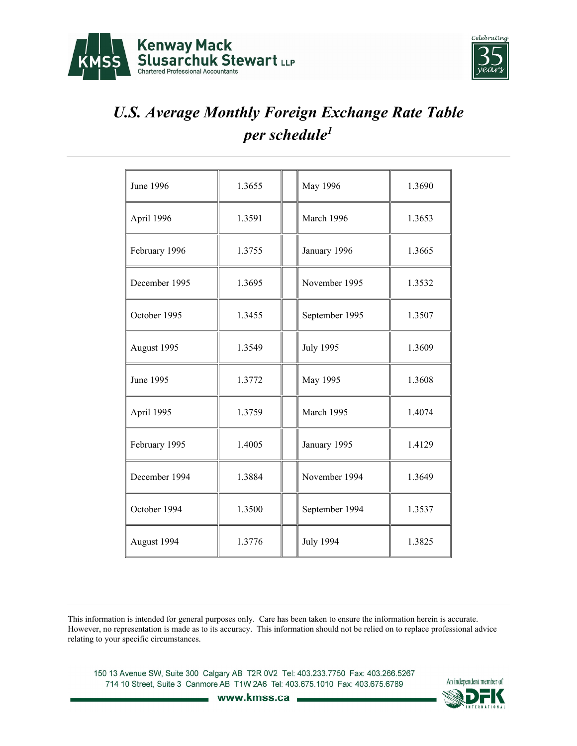![](_page_13_Picture_0.jpeg)

![](_page_13_Picture_1.jpeg)

| June 1996     | 1.3655 | May 1996         | 1.3690 |
|---------------|--------|------------------|--------|
| April 1996    | 1.3591 | March 1996       | 1.3653 |
| February 1996 | 1.3755 | January 1996     | 1.3665 |
| December 1995 | 1.3695 | November 1995    | 1.3532 |
| October 1995  | 1.3455 | September 1995   | 1.3507 |
| August 1995   | 1.3549 | <b>July 1995</b> | 1.3609 |
| June 1995     | 1.3772 | May 1995         | 1.3608 |
| April 1995    | 1.3759 | March 1995       | 1.4074 |
| February 1995 | 1.4005 | January 1995     | 1.4129 |
| December 1994 | 1.3884 | November 1994    | 1.3649 |
| October 1994  | 1.3500 | September 1994   | 1.3537 |
| August 1994   | 1.3776 | <b>July 1994</b> | 1.3825 |

This information is intended for general purposes only. Care has been taken to ensure the information herein is accurate. However, no representation is made as to its accuracy. This information should not be relied on to replace professional advice relating to your specific circumstances.

![](_page_13_Picture_6.jpeg)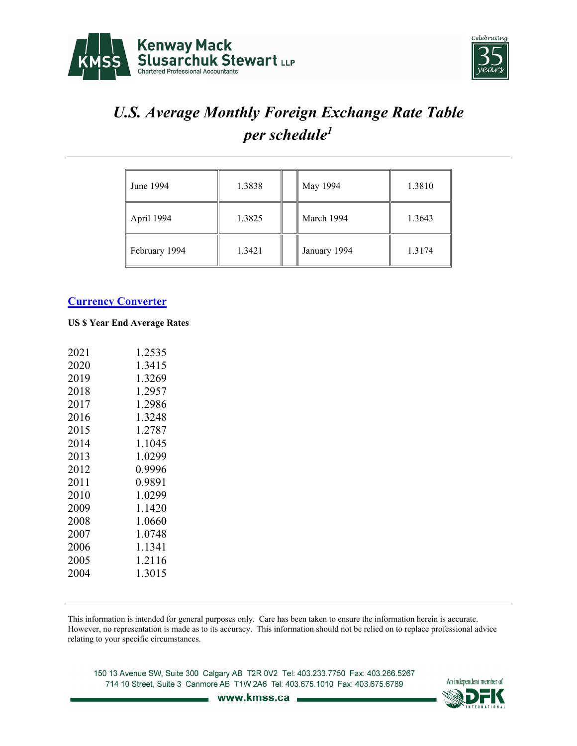![](_page_14_Picture_0.jpeg)

![](_page_14_Picture_1.jpeg)

| June 1994     | 1.3838 | May 1994     | 1.3810 |
|---------------|--------|--------------|--------|
| April 1994    | 1.3825 | March 1994   | 1.3643 |
| February 1994 | 1.3421 | January 1994 | 1.3174 |

#### **Currency Converter**

#### **US \$ Year End Average Rates**

| 2021 | 1.2535 |
|------|--------|
| 2020 | 1.3415 |
| 2019 | 1.3269 |
| 2018 | 1.2957 |
| 2017 | 1.2986 |
| 2016 | 1.3248 |
| 2015 | 1.2787 |
| 2014 | 1.1045 |
| 2013 | 1.0299 |
| 2012 | 0.9996 |
| 2011 | 0.9891 |
| 2010 | 1.0299 |
| 2009 | 1.1420 |
| 2008 | 1.0660 |
| 2007 | 1.0748 |
| 2006 | 1.1341 |
| 2005 | 1.2116 |
| 2004 | 1.3015 |
|      |        |

This information is intended for general purposes only. Care has been taken to ensure the information herein is accurate. However, no representation is made as to its accuracy. This information should not be relied on to replace professional advice relating to your specific circumstances.

![](_page_14_Picture_9.jpeg)